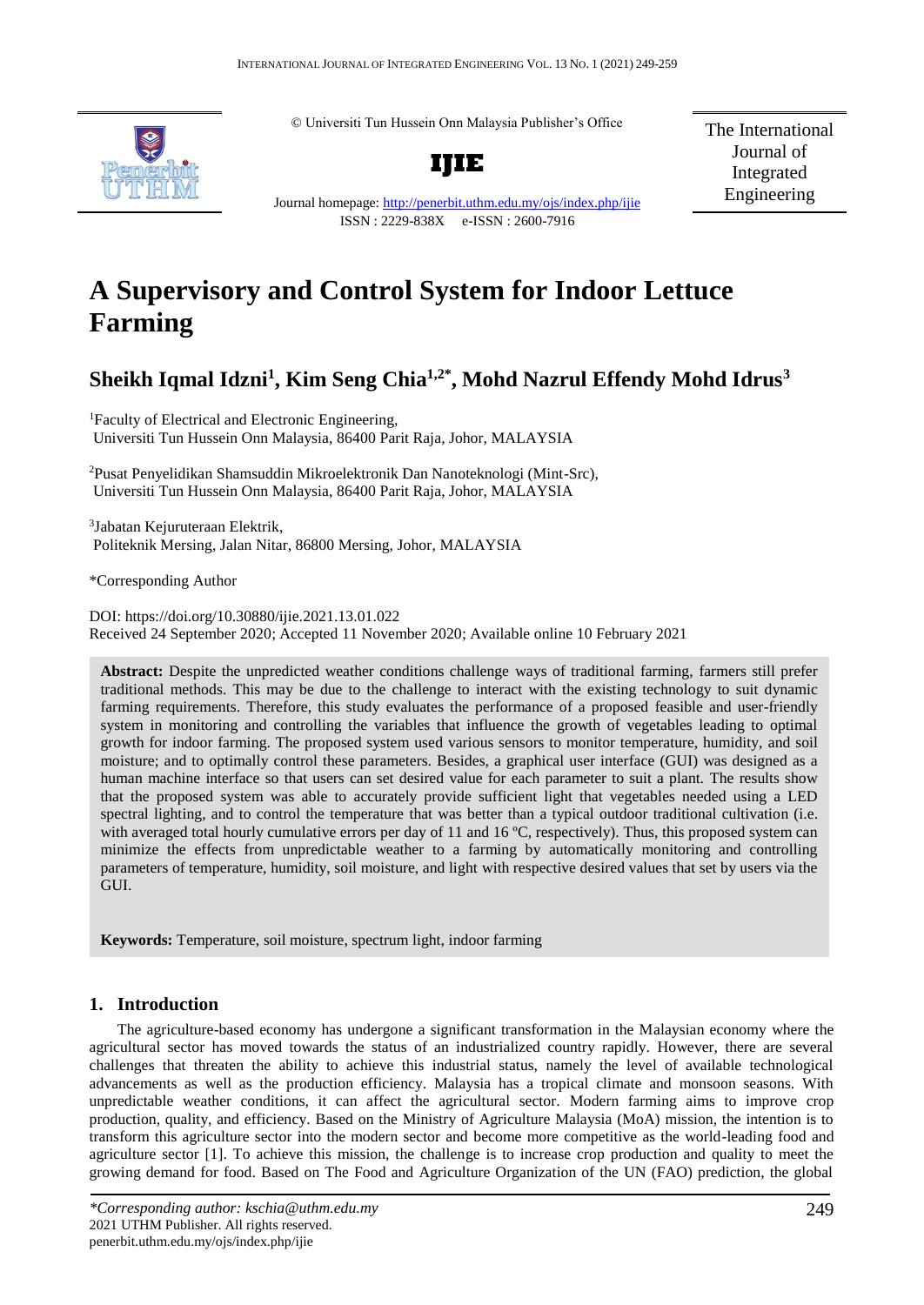© Universiti Tun Hussein Onn Malaysia Publisher's Office



Journal homepage:<http://penerbit.uthm.edu.my/ojs/index.php/ijie> ISSN : 2229-838X e-ISSN : 2600-7916

**IJIE**

The International Journal of Integrated Engineering

# **A Supervisory and Control System for Indoor Lettuce Farming**

## **Sheikh Iqmal Idzni<sup>1</sup> , Kim Seng Chia1,2\* , Mohd Nazrul Effendy Mohd Idrus<sup>3</sup>**

<sup>1</sup>Faculty of Electrical and Electronic Engineering, Universiti Tun Hussein Onn Malaysia, 86400 Parit Raja, Johor, MALAYSIA

<sup>2</sup>Pusat Penyelidikan Shamsuddin Mikroelektronik Dan Nanoteknologi (Mint-Src), Universiti Tun Hussein Onn Malaysia, 86400 Parit Raja, Johor, MALAYSIA

3 Jabatan Kejuruteraan Elektrik, Politeknik Mersing, Jalan Nitar, 86800 Mersing, Johor, MALAYSIA

\*Corresponding Author

DOI: https://doi.org/10.30880/ijie.2021.13.01.022 Received 24 September 2020; Accepted 11 November 2020; Available online 10 February 2021

**Abstract:** Despite the unpredicted weather conditions challenge ways of traditional farming, farmers still prefer traditional methods. This may be due to the challenge to interact with the existing technology to suit dynamic farming requirements. Therefore, this study evaluates the performance of a proposed feasible and user-friendly system in monitoring and controlling the variables that influence the growth of vegetables leading to optimal growth for indoor farming. The proposed system used various sensors to monitor temperature, humidity, and soil moisture; and to optimally control these parameters. Besides, a graphical user interface (GUI) was designed as a human machine interface so that users can set desired value for each parameter to suit a plant. The results show that the proposed system was able to accurately provide sufficient light that vegetables needed using a LED spectral lighting, and to control the temperature that was better than a typical outdoor traditional cultivation (i.e. with averaged total hourly cumulative errors per day of 11 and 16 °C, respectively). Thus, this proposed system can minimize the effects from unpredictable weather to a farming by automatically monitoring and controlling parameters of temperature, humidity, soil moisture, and light with respective desired values that set by users via the GUI.

**Keywords:** Temperature, soil moisture, spectrum light, indoor farming

### **1. Introduction**

The agriculture-based economy has undergone a significant transformation in the Malaysian economy where the agricultural sector has moved towards the status of an industrialized country rapidly. However, there are several challenges that threaten the ability to achieve this industrial status, namely the level of available technological advancements as well as the production efficiency. Malaysia has a tropical climate and monsoon seasons. With unpredictable weather conditions, it can affect the agricultural sector. Modern farming aims to improve crop production, quality, and efficiency. Based on the Ministry of Agriculture Malaysia (MoA) mission, the intention is to transform this agriculture sector into the modern sector and become more competitive as the world-leading food and agriculture sector [1]. To achieve this mission, the challenge is to increase crop production and quality to meet the growing demand for food. Based on The Food and Agriculture Organization of the UN (FAO) prediction, the global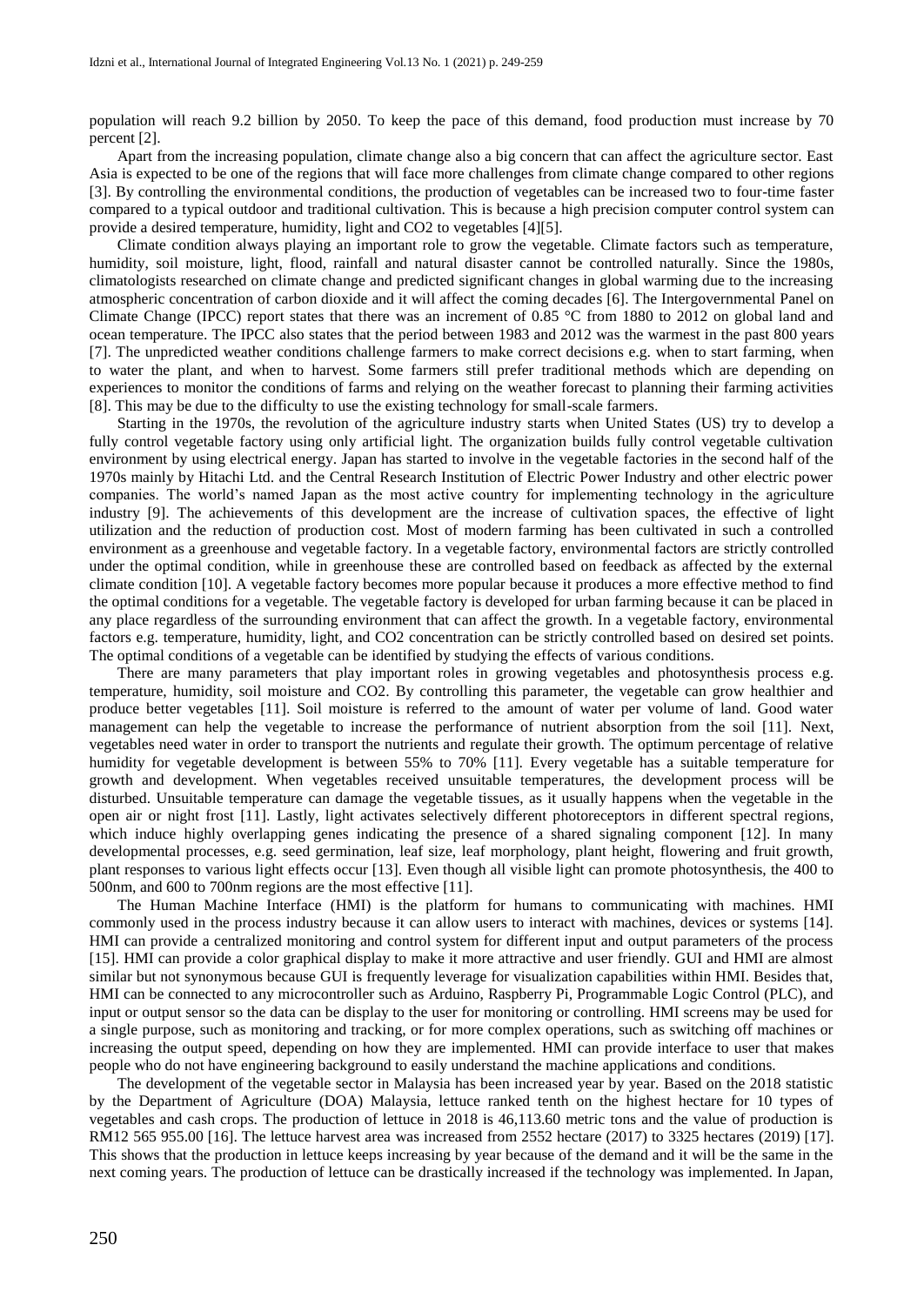population will reach 9.2 billion by 2050. To keep the pace of this demand, food production must increase by 70 percent [2].

Apart from the increasing population, climate change also a big concern that can affect the agriculture sector. East Asia is expected to be one of the regions that will face more challenges from climate change compared to other regions [3]. By controlling the environmental conditions, the production of vegetables can be increased two to four-time faster compared to a typical outdoor and traditional cultivation. This is because a high precision computer control system can provide a desired temperature, humidity, light and CO2 to vegetables [4][5].

Climate condition always playing an important role to grow the vegetable. Climate factors such as temperature, humidity, soil moisture, light, flood, rainfall and natural disaster cannot be controlled naturally. Since the 1980s, climatologists researched on climate change and predicted significant changes in global warming due to the increasing atmospheric concentration of carbon dioxide and it will affect the coming decades [6]. The Intergovernmental Panel on Climate Change (IPCC) report states that there was an increment of  $0.85\degree$ C from 1880 to 2012 on global land and ocean temperature. The IPCC also states that the period between 1983 and 2012 was the warmest in the past 800 years [7]. The unpredicted weather conditions challenge farmers to make correct decisions e.g. when to start farming, when to water the plant, and when to harvest. Some farmers still prefer traditional methods which are depending on experiences to monitor the conditions of farms and relying on the weather forecast to planning their farming activities [8]. This may be due to the difficulty to use the existing technology for small-scale farmers.

Starting in the 1970s, the revolution of the agriculture industry starts when United States (US) try to develop a fully control vegetable factory using only artificial light. The organization builds fully control vegetable cultivation environment by using electrical energy. Japan has started to involve in the vegetable factories in the second half of the 1970s mainly by Hitachi Ltd. and the Central Research Institution of Electric Power Industry and other electric power companies. The world's named Japan as the most active country for implementing technology in the agriculture industry [9]. The achievements of this development are the increase of cultivation spaces, the effective of light utilization and the reduction of production cost. Most of modern farming has been cultivated in such a controlled environment as a greenhouse and vegetable factory. In a vegetable factory, environmental factors are strictly controlled under the optimal condition, while in greenhouse these are controlled based on feedback as affected by the external climate condition [10]. A vegetable factory becomes more popular because it produces a more effective method to find the optimal conditions for a vegetable. The vegetable factory is developed for urban farming because it can be placed in any place regardless of the surrounding environment that can affect the growth. In a vegetable factory, environmental factors e.g. temperature, humidity, light, and CO2 concentration can be strictly controlled based on desired set points. The optimal conditions of a vegetable can be identified by studying the effects of various conditions.

There are many parameters that play important roles in growing vegetables and photosynthesis process e.g. temperature, humidity, soil moisture and CO2. By controlling this parameter, the vegetable can grow healthier and produce better vegetables [11]. Soil moisture is referred to the amount of water per volume of land. Good water management can help the vegetable to increase the performance of nutrient absorption from the soil [11]. Next, vegetables need water in order to transport the nutrients and regulate their growth. The optimum percentage of relative humidity for vegetable development is between 55% to 70% [11]. Every vegetable has a suitable temperature for growth and development. When vegetables received unsuitable temperatures, the development process will be disturbed. Unsuitable temperature can damage the vegetable tissues, as it usually happens when the vegetable in the open air or night frost [11]. Lastly, light activates selectively different photoreceptors in different spectral regions, which induce highly overlapping genes indicating the presence of a shared signaling component [12]. In many developmental processes, e.g. seed germination, leaf size, leaf morphology, plant height, flowering and fruit growth, plant responses to various light effects occur [13]. Even though all visible light can promote photosynthesis, the 400 to 500nm, and 600 to 700nm regions are the most effective [11].

The Human Machine Interface (HMI) is the platform for humans to communicating with machines. HMI commonly used in the process industry because it can allow users to interact with machines, devices or systems [14]. HMI can provide a centralized monitoring and control system for different input and output parameters of the process [15]. HMI can provide a color graphical display to make it more attractive and user friendly. GUI and HMI are almost similar but not synonymous because GUI is frequently leverage for visualization capabilities within HMI. Besides that, HMI can be connected to any microcontroller such as Arduino, Raspberry Pi, Programmable Logic Control (PLC), and input or output sensor so the data can be display to the user for monitoring or controlling. HMI screens may be used for a single purpose, such as monitoring and tracking, or for more complex operations, such as switching off machines or increasing the output speed, depending on how they are implemented. HMI can provide interface to user that makes people who do not have engineering background to easily understand the machine applications and conditions.

The development of the vegetable sector in Malaysia has been increased year by year. Based on the 2018 statistic by the Department of Agriculture (DOA) Malaysia, lettuce ranked tenth on the highest hectare for 10 types of vegetables and cash crops. The production of lettuce in 2018 is 46,113.60 metric tons and the value of production is RM12 565 955.00 [16]. The lettuce harvest area was increased from 2552 hectare (2017) to 3325 hectares (2019) [17]. This shows that the production in lettuce keeps increasing by year because of the demand and it will be the same in the next coming years. The production of lettuce can be drastically increased if the technology was implemented. In Japan,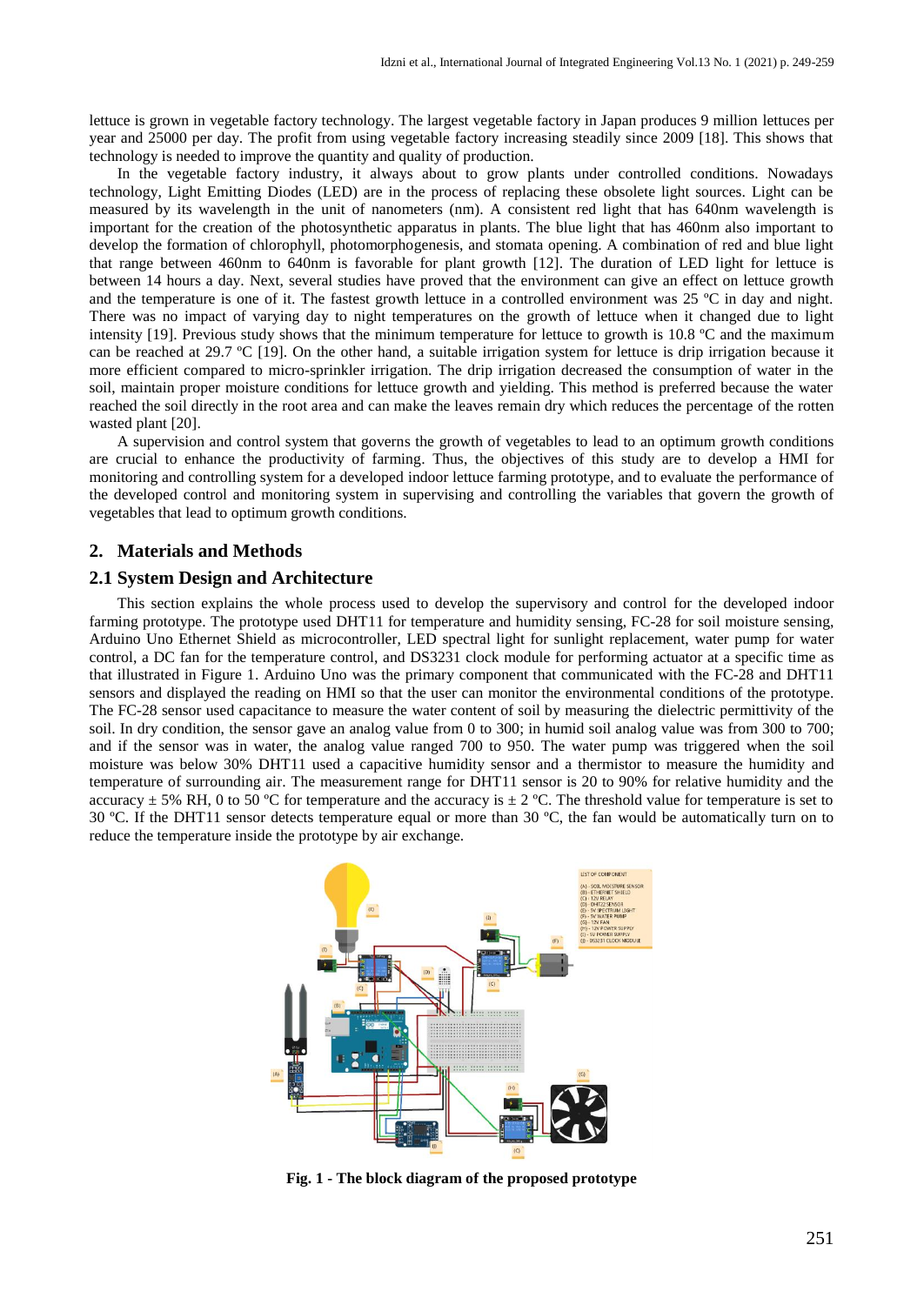lettuce is grown in vegetable factory technology. The largest vegetable factory in Japan produces 9 million lettuces per year and 25000 per day. The profit from using vegetable factory increasing steadily since 2009 [18]. This shows that technology is needed to improve the quantity and quality of production.

In the vegetable factory industry, it always about to grow plants under controlled conditions. Nowadays technology, Light Emitting Diodes (LED) are in the process of replacing these obsolete light sources. Light can be measured by its wavelength in the unit of nanometers (nm). A consistent red light that has 640nm wavelength is important for the creation of the photosynthetic apparatus in plants. The blue light that has 460nm also important to develop the formation of chlorophyll, photomorphogenesis, and stomata opening. A combination of red and blue light that range between 460nm to 640nm is favorable for plant growth [12]. The duration of LED light for lettuce is between 14 hours a day. Next, several studies have proved that the environment can give an effect on lettuce growth and the temperature is one of it. The fastest growth lettuce in a controlled environment was 25 ºC in day and night. There was no impact of varying day to night temperatures on the growth of lettuce when it changed due to light intensity [19]. Previous study shows that the minimum temperature for lettuce to growth is 10.8 ºC and the maximum can be reached at 29.7  $\degree$ C [19]. On the other hand, a suitable irrigation system for lettuce is drip irrigation because it more efficient compared to micro-sprinkler irrigation. The drip irrigation decreased the consumption of water in the soil, maintain proper moisture conditions for lettuce growth and yielding. This method is preferred because the water reached the soil directly in the root area and can make the leaves remain dry which reduces the percentage of the rotten wasted plant [20].

A supervision and control system that governs the growth of vegetables to lead to an optimum growth conditions are crucial to enhance the productivity of farming. Thus, the objectives of this study are to develop a HMI for monitoring and controlling system for a developed indoor lettuce farming prototype, and to evaluate the performance of the developed control and monitoring system in supervising and controlling the variables that govern the growth of vegetables that lead to optimum growth conditions.

#### **2. Materials and Methods**

#### **2.1 System Design and Architecture**

This section explains the whole process used to develop the supervisory and control for the developed indoor farming prototype. The prototype used DHT11 for temperature and humidity sensing, FC-28 for soil moisture sensing, Arduino Uno Ethernet Shield as microcontroller, LED spectral light for sunlight replacement, water pump for water control, a DC fan for the temperature control, and DS3231 clock module for performing actuator at a specific time as that illustrated in Figure 1. Arduino Uno was the primary component that communicated with the FC-28 and DHT11 sensors and displayed the reading on HMI so that the user can monitor the environmental conditions of the prototype. The FC-28 sensor used capacitance to measure the water content of soil by measuring the dielectric permittivity of the soil. In dry condition, the sensor gave an analog value from 0 to 300; in humid soil analog value was from 300 to 700; and if the sensor was in water, the analog value ranged 700 to 950. The water pump was triggered when the soil moisture was below 30% DHT11 used a capacitive humidity sensor and a thermistor to measure the humidity and temperature of surrounding air. The measurement range for DHT11 sensor is 20 to 90% for relative humidity and the accuracy  $\pm$  5% RH, 0 to 50 °C for temperature and the accuracy is  $\pm$  2 °C. The threshold value for temperature is set to 30 ºC. If the DHT11 sensor detects temperature equal or more than 30 ºC, the fan would be automatically turn on to reduce the temperature inside the prototype by air exchange.



**Fig. 1 - The block diagram of the proposed prototype**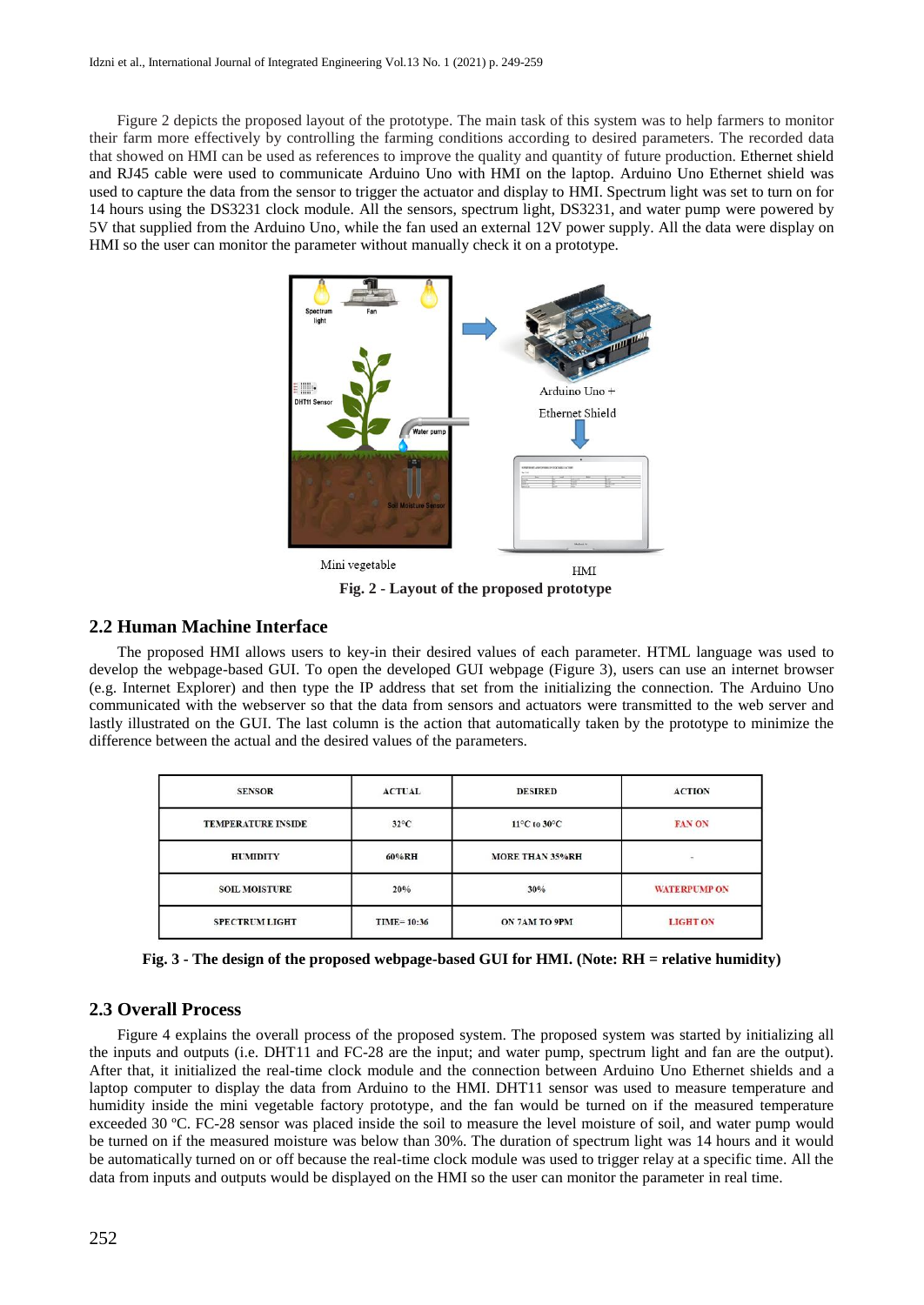Figure 2 depicts the proposed layout of the prototype. The main task of this system was to help farmers to monitor their farm more effectively by controlling the farming conditions according to desired parameters. The recorded data that showed on HMI can be used as references to improve the quality and quantity of future production. Ethernet shield and RJ45 cable were used to communicate Arduino Uno with HMI on the laptop. Arduino Uno Ethernet shield was used to capture the data from the sensor to trigger the actuator and display to HMI. Spectrum light was set to turn on for 14 hours using the DS3231 clock module. All the sensors, spectrum light, DS3231, and water pump were powered by 5V that supplied from the Arduino Uno, while the fan used an external 12V power supply. All the data were display on HMI so the user can monitor the parameter without manually check it on a prototype.



**Fig. 2 - Layout of the proposed prototype**

#### **2.2 Human Machine Interface**

The proposed HMI allows users to key-in their desired values of each parameter. HTML language was used to develop the webpage-based GUI. To open the developed GUI webpage (Figure 3), users can use an internet browser (e.g. Internet Explorer) and then type the IP address that set from the initializing the connection. The Arduino Uno communicated with the webserver so that the data from sensors and actuators were transmitted to the web server and lastly illustrated on the GUI. The last column is the action that automatically taken by the prototype to minimize the difference between the actual and the desired values of the parameters.

| <b>SENSOR</b>             | <b>ACTUAL</b>  | <b>DESIRED</b>                   | <b>ACTION</b>       |
|---------------------------|----------------|----------------------------------|---------------------|
| <b>TEMPERATURE INSIDE</b> | $32^{\circ}$ C | $11^{\circ}$ C to $30^{\circ}$ C | <b>FAN ON</b>       |
| <b>HUMIDITY</b>           | 60%RH          | <b>MORE THAN 35%RH</b>           |                     |
| <b>SOIL MOISTURE</b>      | 20%            | 30%                              | <b>WATERPUMP ON</b> |
| <b>SPECTRUM LIGHT</b>     | $TIME=10:36$   | ON 7AM TO 9PM                    | <b>LIGHT ON</b>     |

**Fig. 3 - The design of the proposed webpage-based GUI for HMI. (Note: RH = relative humidity)**

#### **2.3 Overall Process**

Figure 4 explains the overall process of the proposed system. The proposed system was started by initializing all the inputs and outputs (i.e. DHT11 and FC-28 are the input; and water pump, spectrum light and fan are the output). After that, it initialized the real-time clock module and the connection between Arduino Uno Ethernet shields and a laptop computer to display the data from Arduino to the HMI. DHT11 sensor was used to measure temperature and humidity inside the mini vegetable factory prototype, and the fan would be turned on if the measured temperature exceeded 30 ºC. FC-28 sensor was placed inside the soil to measure the level moisture of soil, and water pump would be turned on if the measured moisture was below than 30%. The duration of spectrum light was 14 hours and it would be automatically turned on or off because the real-time clock module was used to trigger relay at a specific time. All the data from inputs and outputs would be displayed on the HMI so the user can monitor the parameter in real time.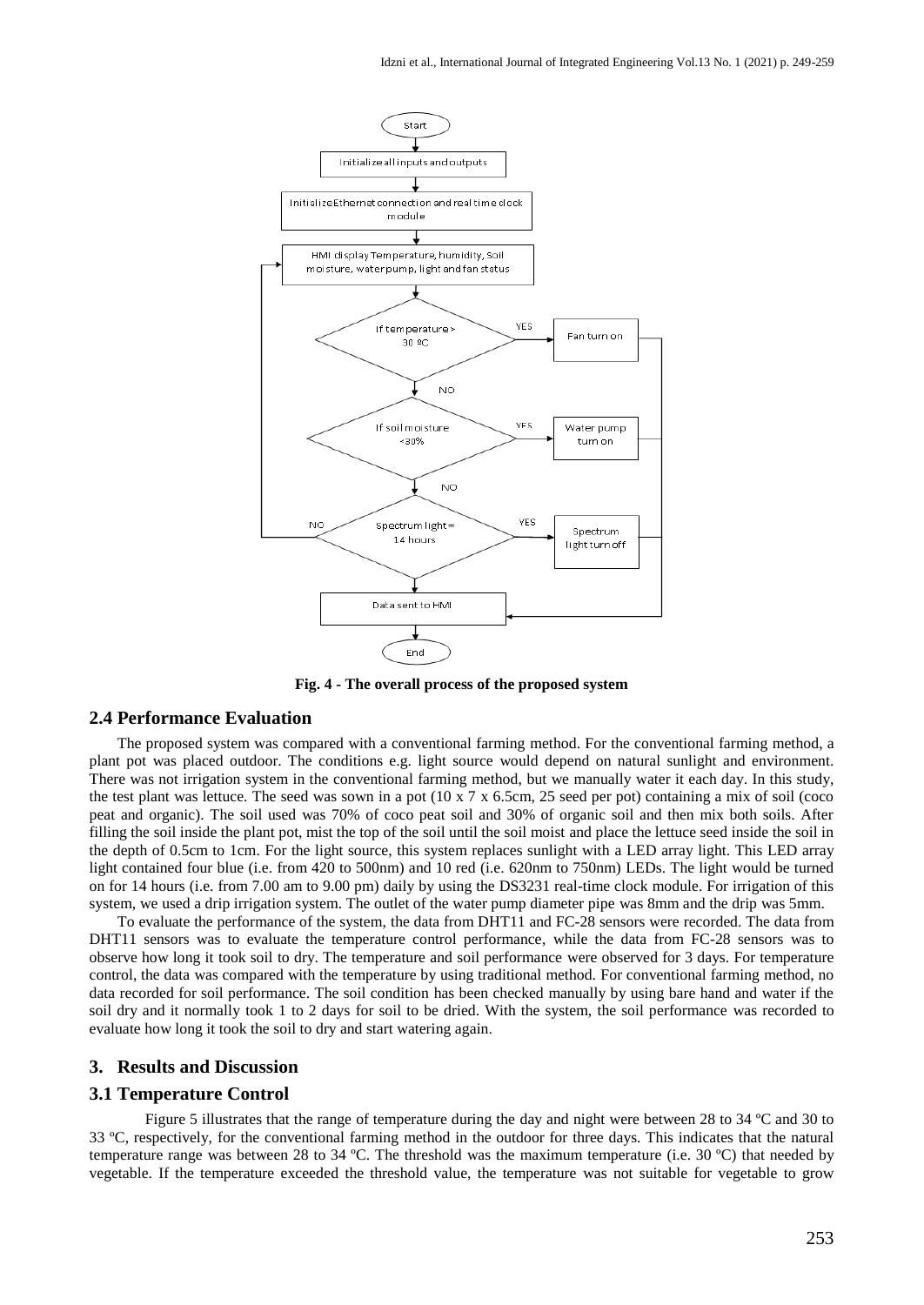

**Fig. 4 - The overall process of the proposed system**

#### **2.4 Performance Evaluation**

The proposed system was compared with a conventional farming method. For the conventional farming method, a plant pot was placed outdoor. The conditions e.g. light source would depend on natural sunlight and environment. There was not irrigation system in the conventional farming method, but we manually water it each day. In this study, the test plant was lettuce. The seed was sown in a pot  $(10 \times 7 \times 6.5 \text{cm}, 25 \text{ seed per pot})$  containing a mix of soil (coco peat and organic). The soil used was 70% of coco peat soil and 30% of organic soil and then mix both soils. After filling the soil inside the plant pot, mist the top of the soil until the soil moist and place the lettuce seed inside the soil in the depth of 0.5cm to 1cm. For the light source, this system replaces sunlight with a LED array light. This LED array light contained four blue (i.e. from 420 to 500nm) and 10 red (i.e. 620nm to 750nm) LEDs. The light would be turned on for 14 hours (i.e. from 7.00 am to 9.00 pm) daily by using the DS3231 real-time clock module. For irrigation of this system, we used a drip irrigation system. The outlet of the water pump diameter pipe was 8mm and the drip was 5mm.

To evaluate the performance of the system, the data from DHT11 and FC-28 sensors were recorded. The data from DHT11 sensors was to evaluate the temperature control performance, while the data from FC-28 sensors was to observe how long it took soil to dry. The temperature and soil performance were observed for 3 days. For temperature control, the data was compared with the temperature by using traditional method. For conventional farming method, no data recorded for soil performance. The soil condition has been checked manually by using bare hand and water if the soil dry and it normally took 1 to 2 days for soil to be dried. With the system, the soil performance was recorded to evaluate how long it took the soil to dry and start watering again.

#### **3. Results and Discussion**

#### **3.1 Temperature Control**

Figure 5 illustrates that the range of temperature during the day and night were between 28 to 34 ºC and 30 to 33 ºC, respectively, for the conventional farming method in the outdoor for three days. This indicates that the natural temperature range was between 28 to 34 °C. The threshold was the maximum temperature (i.e. 30 °C) that needed by vegetable. If the temperature exceeded the threshold value, the temperature was not suitable for vegetable to grow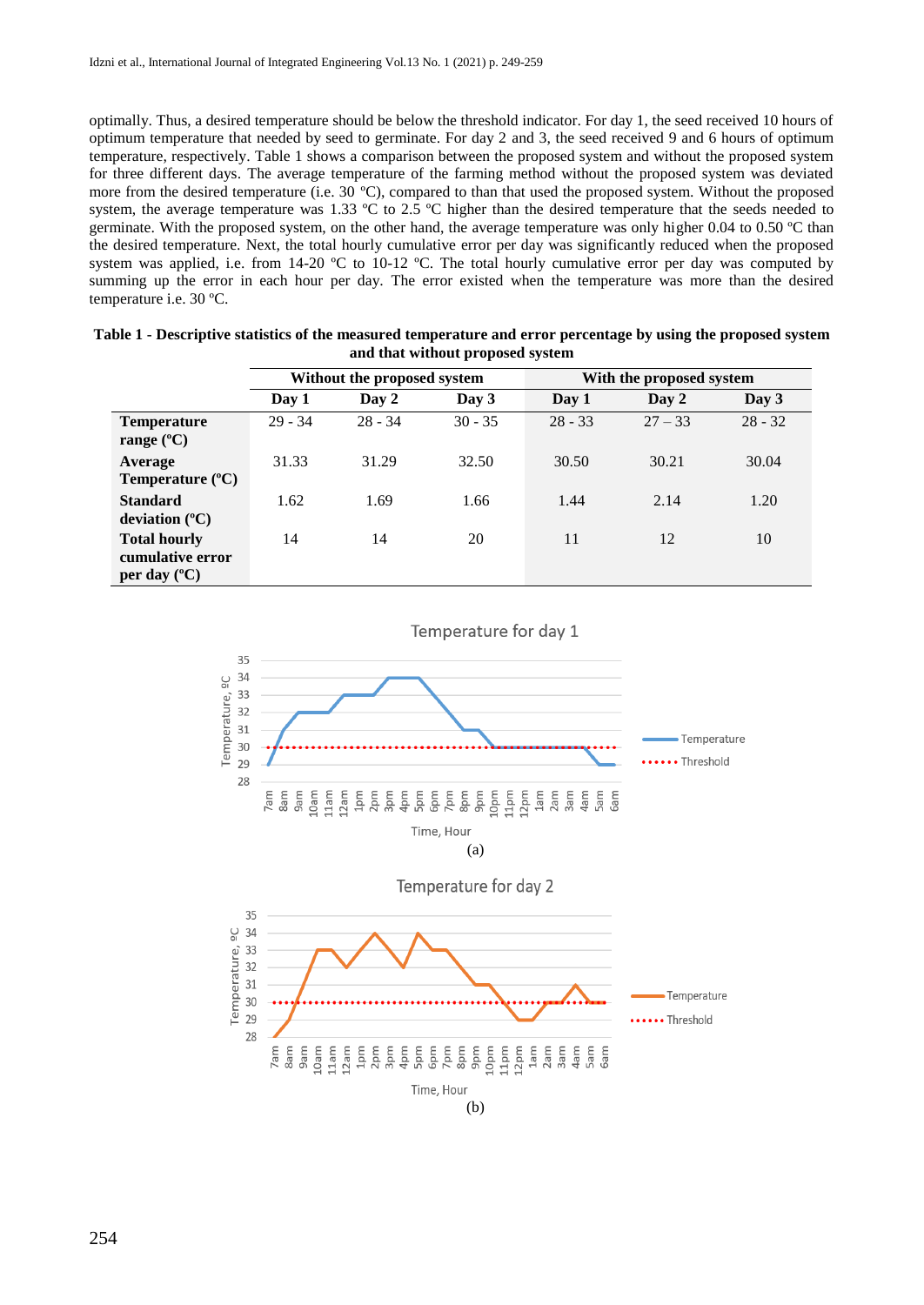optimally. Thus, a desired temperature should be below the threshold indicator. For day 1, the seed received 10 hours of optimum temperature that needed by seed to germinate. For day 2 and 3, the seed received 9 and 6 hours of optimum temperature, respectively. Table 1 shows a comparison between the proposed system and without the proposed system for three different days. The average temperature of the farming method without the proposed system was deviated more from the desired temperature (i.e. 30 °C), compared to than that used the proposed system. Without the proposed system, the average temperature was 1.33 °C to 2.5 °C higher than the desired temperature that the seeds needed to germinate. With the proposed system, on the other hand, the average temperature was only higher 0.04 to 0.50 °C than the desired temperature. Next, the total hourly cumulative error per day was significantly reduced when the proposed system was applied, i.e. from 14-20 °C to 10-12 °C. The total hourly cumulative error per day was computed by summing up the error in each hour per day. The error existed when the temperature was more than the desired temperature i.e. 30 ºC.

|                                                                  | Without the proposed system |           | With the proposed system |           |           |           |
|------------------------------------------------------------------|-----------------------------|-----------|--------------------------|-----------|-----------|-----------|
|                                                                  | Day 1                       | Day 2     | Day 3                    | Day 1     | Day 2     | Day 3     |
| <b>Temperature</b><br>range $(^{\circ}C)$                        | $29 - 34$                   | $28 - 34$ | $30 - 35$                | $28 - 33$ | $27 - 33$ | $28 - 32$ |
| Average<br>Temperature $(^{\circ}C)$                             | 31.33                       | 31.29     | 32.50                    | 30.50     | 30.21     | 30.04     |
| <b>Standard</b><br>deviation $(^{\circ}C)$                       | 1.62                        | 1.69      | 1.66                     | 1.44      | 2.14      | 1.20      |
| <b>Total hourly</b><br>cumulative error<br>per day $(^{\circ}C)$ | 14                          | 14        | 20                       | 11        | 12        | 10        |

| Table 1 - Descriptive statistics of the measured temperature and error percentage by using the proposed system |
|----------------------------------------------------------------------------------------------------------------|
| and that without proposed system                                                                               |

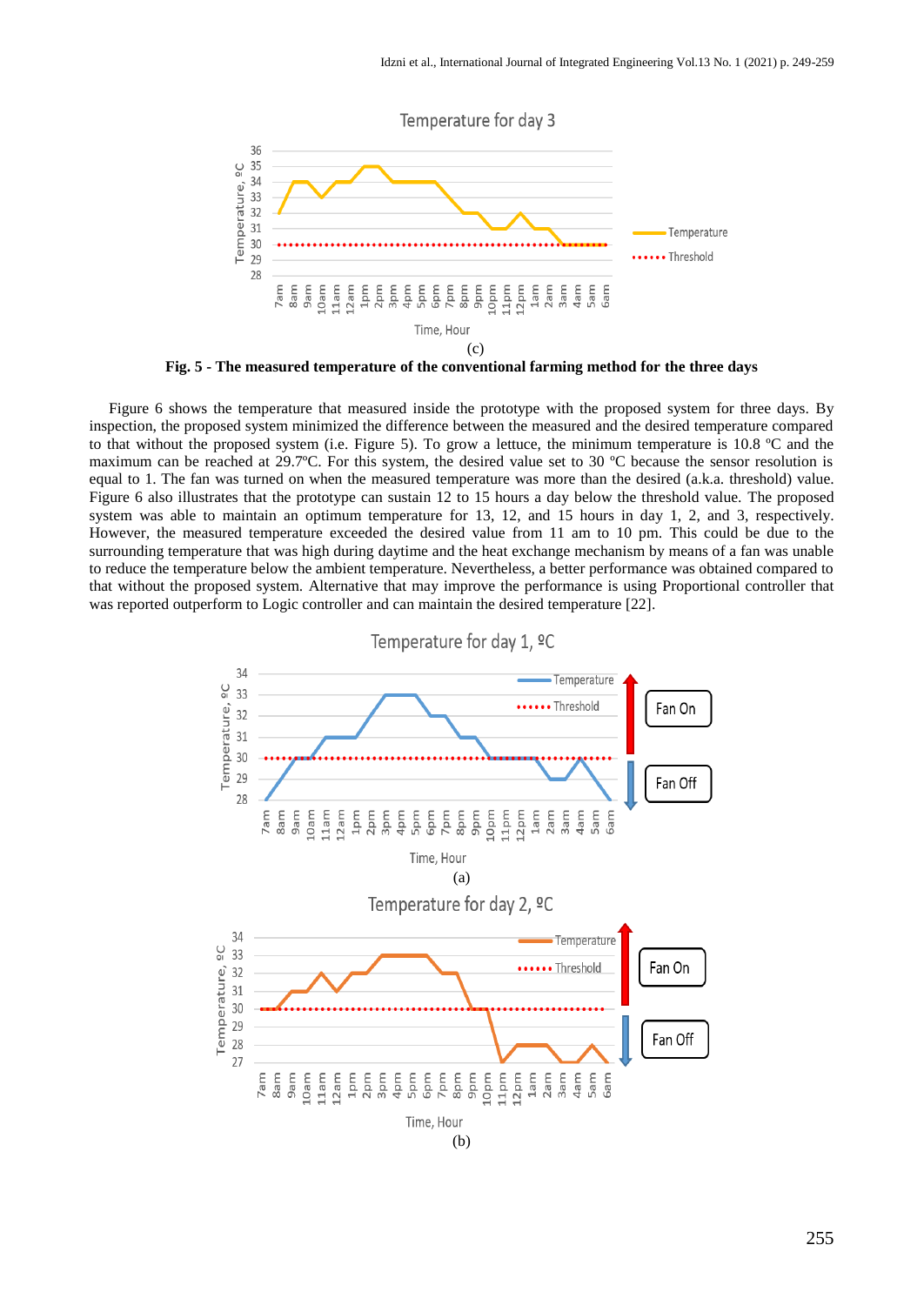

**Fig. 5 - The measured temperature of the conventional farming method for the three days** 

Figure 6 shows the temperature that measured inside the prototype with the proposed system for three days. By inspection, the proposed system minimized the difference between the measured and the desired temperature compared to that without the proposed system (i.e. Figure 5). To grow a lettuce, the minimum temperature is 10.8 ºC and the maximum can be reached at 29.7ºC. For this system, the desired value set to 30 ºC because the sensor resolution is equal to 1. The fan was turned on when the measured temperature was more than the desired (a.k.a. threshold) value. Figure 6 also illustrates that the prototype can sustain 12 to 15 hours a day below the threshold value. The proposed system was able to maintain an optimum temperature for 13, 12, and 15 hours in day 1, 2, and 3, respectively. However, the measured temperature exceeded the desired value from 11 am to 10 pm. This could be due to the surrounding temperature that was high during daytime and the heat exchange mechanism by means of a fan was unable to reduce the temperature below the ambient temperature. Nevertheless, a better performance was obtained compared to that without the proposed system. Alternative that may improve the performance is using Proportional controller that was reported outperform to Logic controller and can maintain the desired temperature [22].

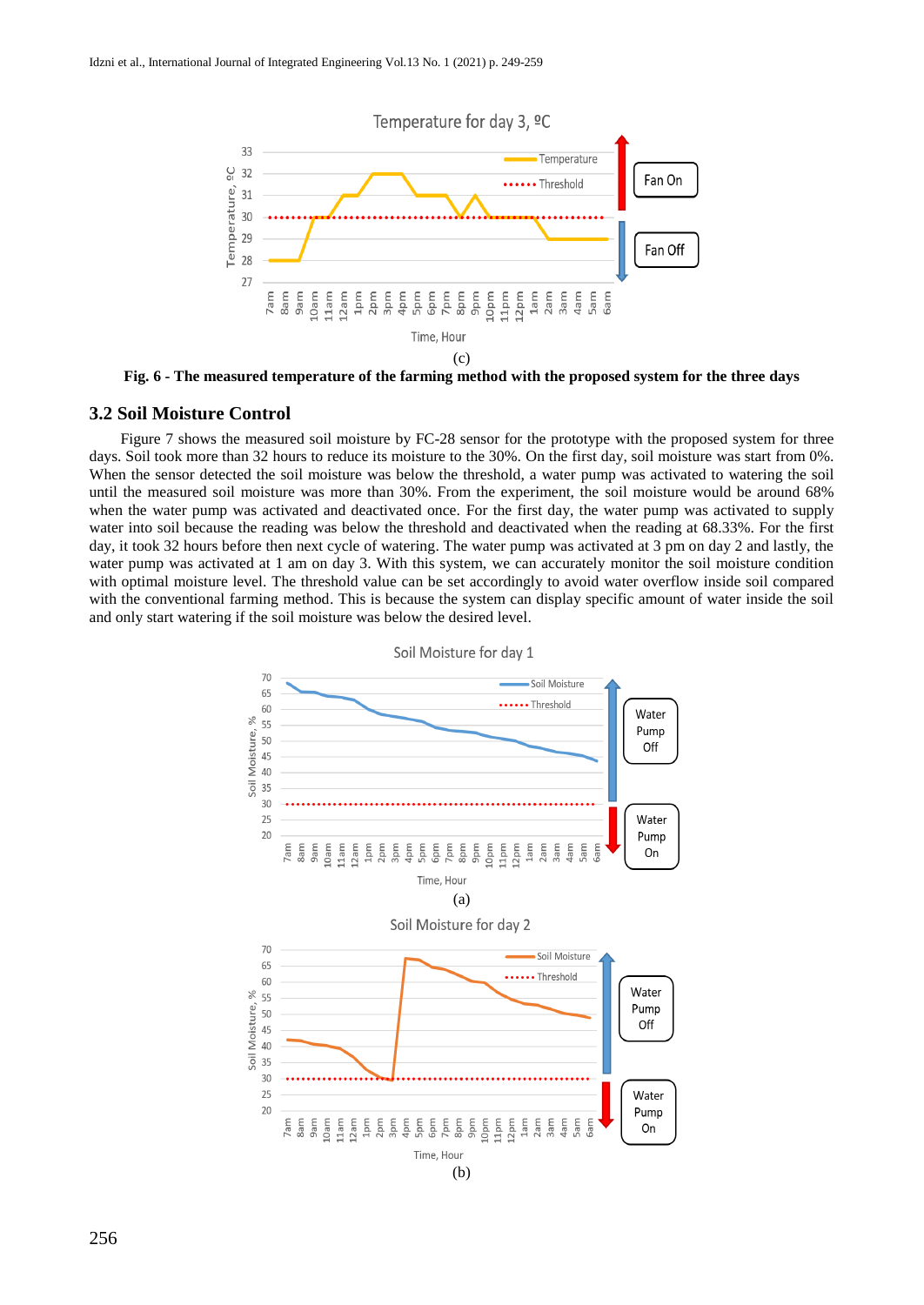

**Fig. 6 - The measured temperature of the farming method with the proposed system for the three days**

#### **3.2 Soil Moisture Control**

 Figure 7 shows the measured soil moisture by FC-28 sensor for the prototype with the proposed system for three days. Soil took more than 32 hours to reduce its moisture to the 30%. On the first day, soil moisture was start from 0%. When the sensor detected the soil moisture was below the threshold, a water pump was activated to watering the soil until the measured soil moisture was more than 30%. From the experiment, the soil moisture would be around 68% when the water pump was activated and deactivated once. For the first day, the water pump was activated to supply water into soil because the reading was below the threshold and deactivated when the reading at 68.33%. For the first day, it took 32 hours before then next cycle of watering. The water pump was activated at 3 pm on day 2 and lastly, the water pump was activated at 1 am on day 3. With this system, we can accurately monitor the soil moisture condition with optimal moisture level. The threshold value can be set accordingly to avoid water overflow inside soil compared with the conventional farming method. This is because the system can display specific amount of water inside the soil and only start watering if the soil moisture was below the desired level.



Soil Moisture for day 1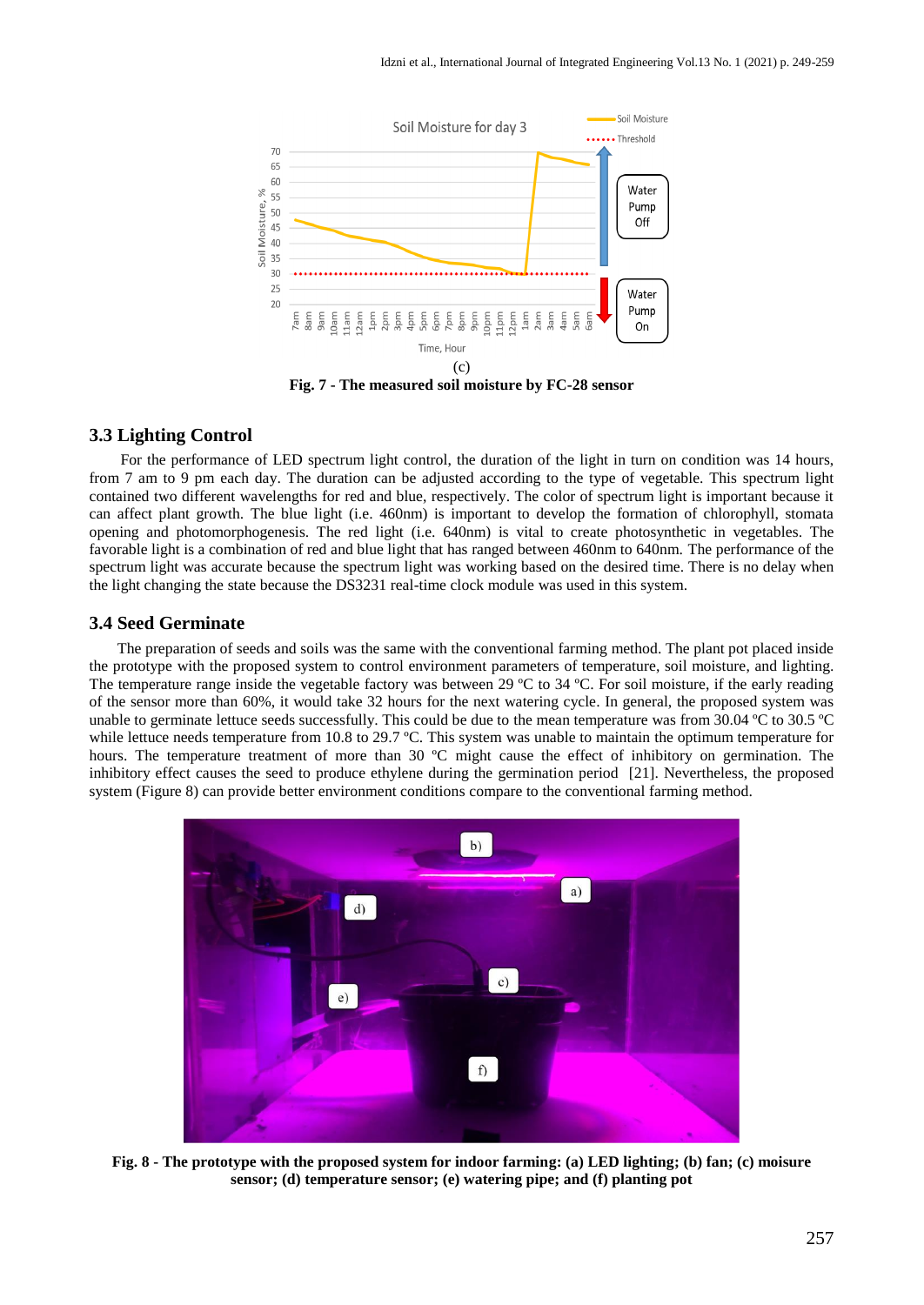

 For the performance of LED spectrum light control, the duration of the light in turn on condition was 14 hours, from 7 am to 9 pm each day. The duration can be adjusted according to the type of vegetable. This spectrum light contained two different wavelengths for red and blue, respectively. The color of spectrum light is important because it can affect plant growth. The blue light (i.e. 460nm) is important to develop the formation of chlorophyll, stomata opening and photomorphogenesis. The red light (i.e. 640nm) is vital to create photosynthetic in vegetables. The favorable light is a combination of red and blue light that has ranged between 460nm to 640nm. The performance of the spectrum light was accurate because the spectrum light was working based on the desired time. There is no delay when the light changing the state because the DS3231 real-time clock module was used in this system.

#### **3.4 Seed Germinate**

**3.3 Lighting Control**

The preparation of seeds and soils was the same with the conventional farming method. The plant pot placed inside the prototype with the proposed system to control environment parameters of temperature, soil moisture, and lighting. The temperature range inside the vegetable factory was between 29 °C to 34 °C. For soil moisture, if the early reading of the sensor more than 60%, it would take 32 hours for the next watering cycle. In general, the proposed system was unable to germinate lettuce seeds successfully. This could be due to the mean temperature was from 30.04 ºC to 30.5 ºC while lettuce needs temperature from 10.8 to 29.7 °C. This system was unable to maintain the optimum temperature for hours. The temperature treatment of more than 30 °C might cause the effect of inhibitory on germination. The inhibitory effect causes the seed to produce ethylene during the germination period [21]. Nevertheless, the proposed system (Figure 8) can provide better environment conditions compare to the conventional farming method.



**Fig. 8 - The prototype with the proposed system for indoor farming: (a) LED lighting; (b) fan; (c) moisure sensor; (d) temperature sensor; (e) watering pipe; and (f) planting pot**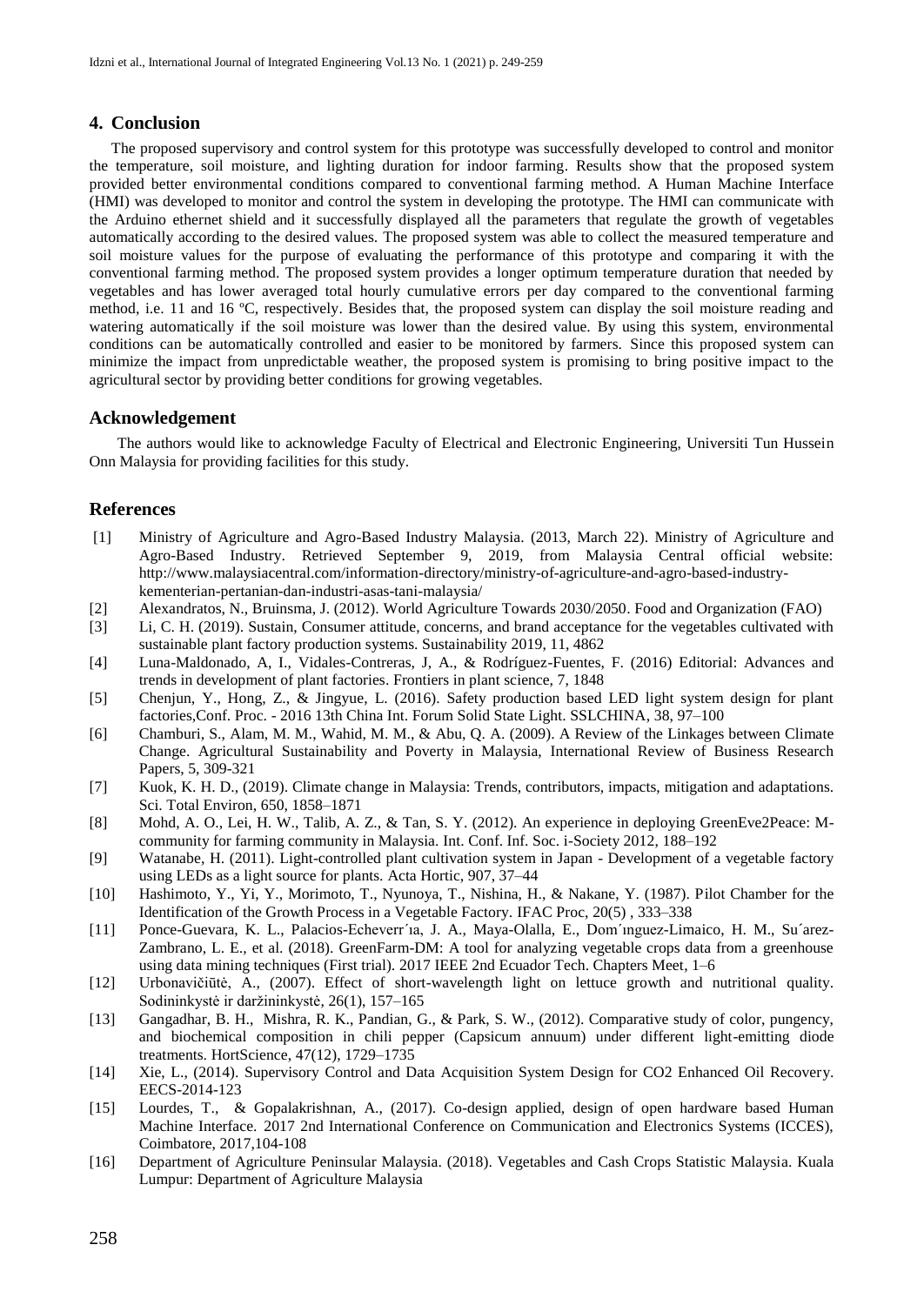#### **4. Conclusion**

The proposed supervisory and control system for this prototype was successfully developed to control and monitor the temperature, soil moisture, and lighting duration for indoor farming. Results show that the proposed system provided better environmental conditions compared to conventional farming method. A Human Machine Interface (HMI) was developed to monitor and control the system in developing the prototype. The HMI can communicate with the Arduino ethernet shield and it successfully displayed all the parameters that regulate the growth of vegetables automatically according to the desired values. The proposed system was able to collect the measured temperature and soil moisture values for the purpose of evaluating the performance of this prototype and comparing it with the conventional farming method. The proposed system provides a longer optimum temperature duration that needed by vegetables and has lower averaged total hourly cumulative errors per day compared to the conventional farming method, i.e. 11 and 16 °C, respectively. Besides that, the proposed system can display the soil moisture reading and watering automatically if the soil moisture was lower than the desired value. By using this system, environmental conditions can be automatically controlled and easier to be monitored by farmers. Since this proposed system can minimize the impact from unpredictable weather, the proposed system is promising to bring positive impact to the agricultural sector by providing better conditions for growing vegetables.

#### **Acknowledgement**

The authors would like to acknowledge Faculty of Electrical and Electronic Engineering, Universiti Tun Hussein Onn Malaysia for providing facilities for this study.

#### **References**

- [1] Ministry of Agriculture and Agro-Based Industry Malaysia. (2013, March 22). Ministry of Agriculture and Agro-Based Industry. Retrieved September 9, 2019, from Malaysia Central official website: http://www.malaysiacentral.com/information-directory/ministry-of-agriculture-and-agro-based-industrykementerian-pertanian-dan-industri-asas-tani-malaysia/
- [2] Alexandratos, N., Bruinsma, J. (2012). World Agriculture Towards 2030/2050. Food and Organization (FAO)
- [3] Li, C. H. (2019). Sustain, Consumer attitude, concerns, and brand acceptance for the vegetables cultivated with sustainable plant factory production systems. Sustainability 2019, 11, 4862
- [4] Luna-Maldonado, A, I., Vidales-Contreras, J, A., & Rodríguez-Fuentes, F. (2016) Editorial: Advances and trends in development of plant factories. Frontiers in plant science, 7, 1848
- [5] Chenjun, Y., Hong, Z., & Jingyue, L. (2016). Safety production based LED light system design for plant factories,Conf. Proc. - 2016 13th China Int. Forum Solid State Light. SSLCHINA, 38, 97–100
- [6] Chamburi, S., Alam, M. M., Wahid, M. M., & Abu, Q. A. (2009). A Review of the Linkages between Climate Change. Agricultural Sustainability and Poverty in Malaysia, International Review of Business Research Papers, 5, 309-321
- [7] Kuok, K. H. D., (2019). Climate change in Malaysia: Trends, contributors, impacts, mitigation and adaptations. Sci. Total Environ, 650, 1858–1871
- [8] Mohd, A. O., Lei, H. W., Talib, A. Z., & Tan, S. Y. (2012). An experience in deploying GreenEve2Peace: Mcommunity for farming community in Malaysia. Int. Conf. Inf. Soc. i-Society 2012, 188–192
- [9] Watanabe, H. (2011). Light-controlled plant cultivation system in Japan Development of a vegetable factory using LEDs as a light source for plants. Acta Hortic, 907, 37–44
- [10] Hashimoto, Y., Yi, Y., Morimoto, T., Nyunoya, T., Nishina, H., & Nakane, Y. (1987). Pilot Chamber for the Identification of the Growth Process in a Vegetable Factory. IFAC Proc, 20(5) , 333–338
- [11] Ponce-Guevara, K. L., Palacios-Echeverr´ıa, J. A., Maya-Olalla, E., Dom´ınguez-Limaico, H. M., Su´arez-Zambrano, L. E., et al. (2018). GreenFarm-DM: A tool for analyzing vegetable crops data from a greenhouse using data mining techniques (First trial). 2017 IEEE 2nd Ecuador Tech. Chapters Meet, 1–6
- [12] Urbonavičiūtė, A., (2007). Effect of short-wavelength light on lettuce growth and nutritional quality. Sodininkystė ir daržininkystė, 26(1), 157–165
- [13] Gangadhar, B. H., Mishra, R. K., Pandian, G., & Park, S. W., (2012). Comparative study of color, pungency, and biochemical composition in chili pepper (Capsicum annuum) under different light-emitting diode treatments. HortScience, 47(12), 1729–1735
- [14] Xie, L., (2014). Supervisory Control and Data Acquisition System Design for CO2 Enhanced Oil Recovery. EECS-2014-123
- [15] Lourdes, T., & Gopalakrishnan, A., (2017). Co-design applied, design of open hardware based Human Machine Interface. 2017 2nd International Conference on Communication and Electronics Systems (ICCES), Coimbatore, 2017,104-108
- [16] Department of Agriculture Peninsular Malaysia. (2018). Vegetables and Cash Crops Statistic Malaysia. Kuala Lumpur: Department of Agriculture Malaysia